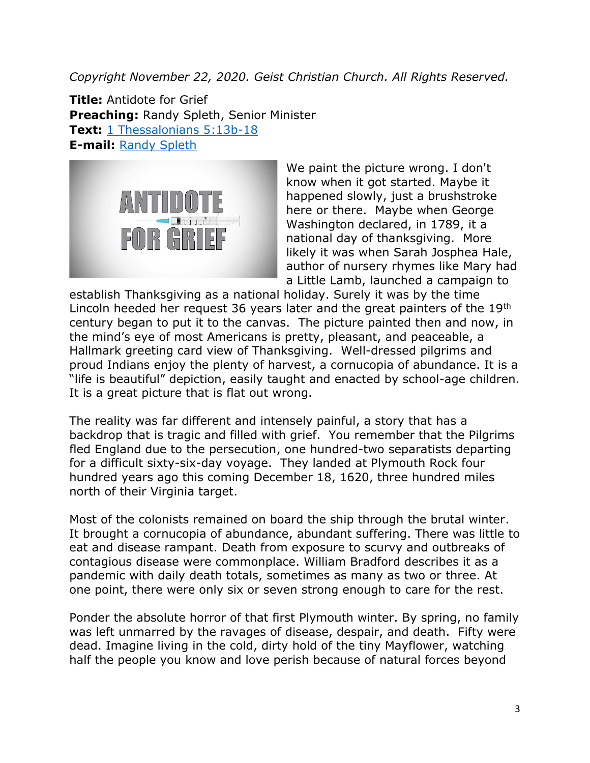*Copyright November 22, 2020. Geist Christian Church. All Rights Reserved.*

**Title:** Antidote for Grief **Preaching:** Randy Spleth, Senior Minister **Text:** [1 Thessalonians 5:13b-18](https://www.biblegateway.com/passage/?search=1+Thessalonians+5%3A13b-18&version=NRSV) **E-mail:** [Randy Spleth](mailto:randy.spleth@geistchristian.org)



We paint the picture wrong. I don't know when it got started. Maybe it happened slowly, just a brushstroke here or there. Maybe when George Washington declared, in 1789, it a national day of thanksgiving. More likely it was when Sarah Josphea Hale, author of nursery rhymes like Mary had a Little Lamb, launched a campaign to

establish Thanksgiving as a national holiday. Surely it was by the time Lincoln heeded her request 36 years later and the great painters of the 19<sup>th</sup> century began to put it to the canvas. The picture painted then and now, in the mind's eye of most Americans is pretty, pleasant, and peaceable, a Hallmark greeting card view of Thanksgiving. Well-dressed pilgrims and proud Indians enjoy the plenty of harvest, a cornucopia of abundance. It is a "life is beautiful" depiction, easily taught and enacted by school-age children. It is a great picture that is flat out wrong.

The reality was far different and intensely painful, a story that has a backdrop that is tragic and filled with grief. You remember that the Pilgrims fled England due to the persecution, one hundred-two separatists departing for a difficult sixty-six-day voyage. They landed at Plymouth Rock four hundred years ago this coming December 18, 1620, three hundred miles north of their Virginia target.

Most of the colonists remained on board the ship through the brutal winter. It brought a cornucopia of abundance, abundant suffering. There was little to eat and disease rampant. Death from exposure to scurvy and outbreaks of contagious disease were commonplace. William Bradford describes it as a pandemic with daily death totals, sometimes as many as two or three. At one point, there were only six or seven strong enough to care for the rest.

Ponder the absolute horror of that first Plymouth winter. By spring, no family was left unmarred by the ravages of disease, despair, and death. Fifty were dead. Imagine living in the cold, dirty hold of the tiny Mayflower, watching half the people you know and love perish because of natural forces beyond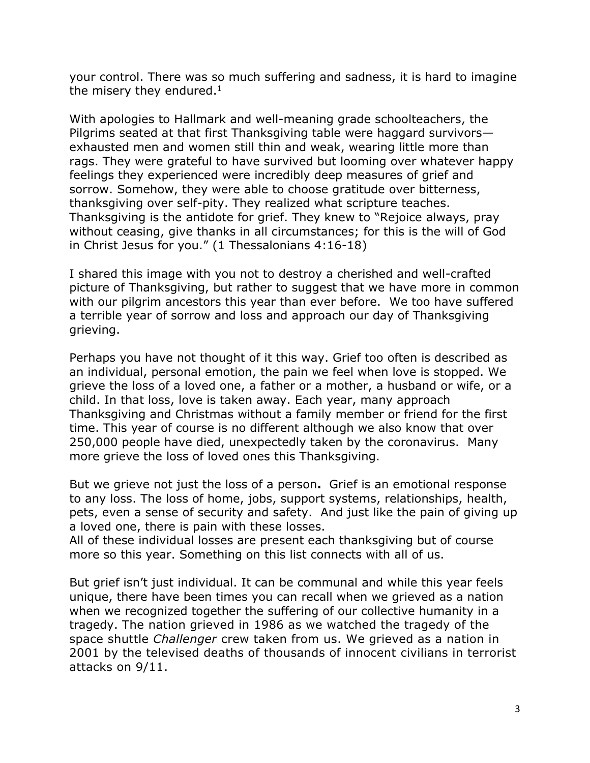your control. There was so much suffering and sadness, it is hard to imagine the misery they endured. $<sup>1</sup>$ </sup>

With apologies to Hallmark and well-meaning grade schoolteachers, the Pilgrims seated at that first Thanksgiving table were haggard survivors exhausted men and women still thin and weak, wearing little more than rags. They were grateful to have survived but looming over whatever happy feelings they experienced were incredibly deep measures of grief and sorrow. Somehow, they were able to choose gratitude over bitterness, thanksgiving over self-pity. They realized what scripture teaches. Thanksgiving is the antidote for grief. They knew to "Rejoice always, pray without ceasing, give thanks in all circumstances; for this is the will of God in Christ Jesus for you." (1 Thessalonians 4:16-18)

I shared this image with you not to destroy a cherished and well-crafted picture of Thanksgiving, but rather to suggest that we have more in common with our pilgrim ancestors this year than ever before. We too have suffered a terrible year of sorrow and loss and approach our day of Thanksgiving grieving.

Perhaps you have not thought of it this way. Grief too often is described as an individual, personal emotion, the pain we feel when love is stopped. We grieve the loss of a loved one, a father or a mother, a husband or wife, or a child. In that loss, love is taken away. Each year, many approach Thanksgiving and Christmas without a family member or friend for the first time. This year of course is no different although we also know that over 250,000 people have died, unexpectedly taken by the coronavirus. Many more grieve the loss of loved ones this Thanksgiving.

But we grieve not just the loss of a person**.** Grief is an emotional response to any loss. The loss of home, jobs, support systems, relationships, health, pets, even a sense of security and safety. And just like the pain of giving up a loved one, there is pain with these losses.

All of these individual losses are present each thanksgiving but of course more so this year. Something on this list connects with all of us.

But grief isn't just individual. It can be communal and while this year feels unique, there have been times you can recall when we grieved as a nation when we recognized together the suffering of our collective humanity in a tragedy. The nation grieved in 1986 as we watched the tragedy of the space shuttle *Challenger* crew taken from us. We grieved as a nation in 2001 by the televised deaths of thousands of innocent civilians in terrorist attacks on 9/11.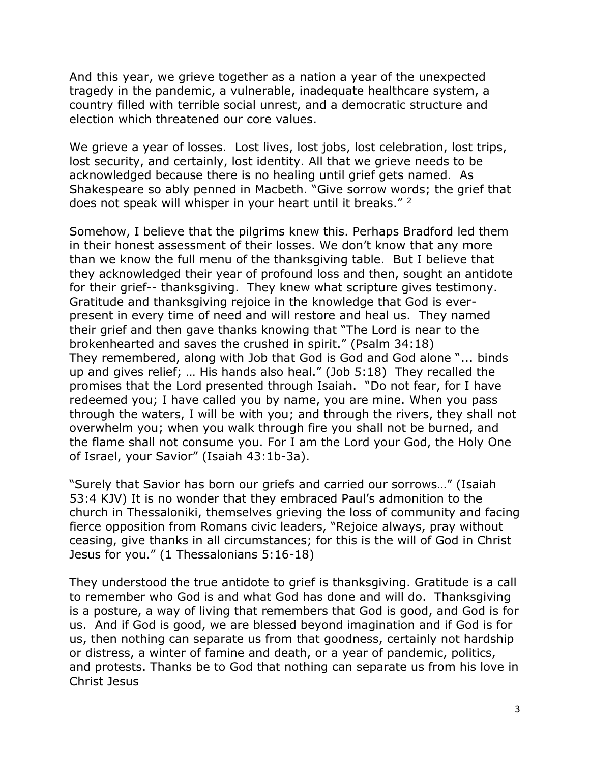And this year, we grieve together as a nation a year of the unexpected tragedy in the pandemic, a vulnerable, inadequate healthcare system, a country filled with terrible social unrest, and a democratic structure and election which threatened our core values.

We grieve a year of losses. Lost lives, lost jobs, lost celebration, lost trips, lost security, and certainly, lost identity. All that we grieve needs to be acknowledged because there is no healing until grief gets named. As Shakespeare so ably penned in Macbeth. "Give sorrow words; the grief that does not speak will whisper in your heart until it breaks." <sup>2</sup>

Somehow, I believe that the pilgrims knew this. Perhaps Bradford led them in their honest assessment of their losses. We don't know that any more than we know the full menu of the thanksgiving table. But I believe that they acknowledged their year of profound loss and then, sought an antidote for their grief-- thanksgiving. They knew what scripture gives testimony. Gratitude and thanksgiving rejoice in the knowledge that God is everpresent in every time of need and will restore and heal us. They named their grief and then gave thanks knowing that "The Lord is near to the brokenhearted and saves the crushed in spirit." (Psalm 34:18) They remembered, along with Job that God is God and God alone "... binds up and gives relief; … His hands also heal." (Job 5:18) They recalled the promises that the Lord presented through Isaiah. "Do not fear, for I have redeemed you; I have called you by name, you are mine. When you pass through the waters, I will be with you; and through the rivers, they shall not overwhelm you; when you walk through fire you shall not be burned, and the flame shall not consume you. For I am the Lord your God, the Holy One of Israel, your Savior" (Isaiah 43:1b-3a).

"Surely that Savior has born our griefs and carried our sorrows…" (Isaiah 53:4 KJV) It is no wonder that they embraced Paul's admonition to the church in Thessaloniki, themselves grieving the loss of community and facing fierce opposition from Romans civic leaders, "Rejoice always, pray without ceasing, give thanks in all circumstances; for this is the will of God in Christ Jesus for you." (1 Thessalonians 5:16-18)

They understood the true antidote to grief is thanksgiving. Gratitude is a call to remember who God is and what God has done and will do. Thanksgiving is a posture, a way of living that remembers that God is good, and God is for us. And if God is good, we are blessed beyond imagination and if God is for us, then nothing can separate us from that goodness, certainly not hardship or distress, a winter of famine and death, or a year of pandemic, politics, and protests. Thanks be to God that nothing can separate us from his love in Christ Jesus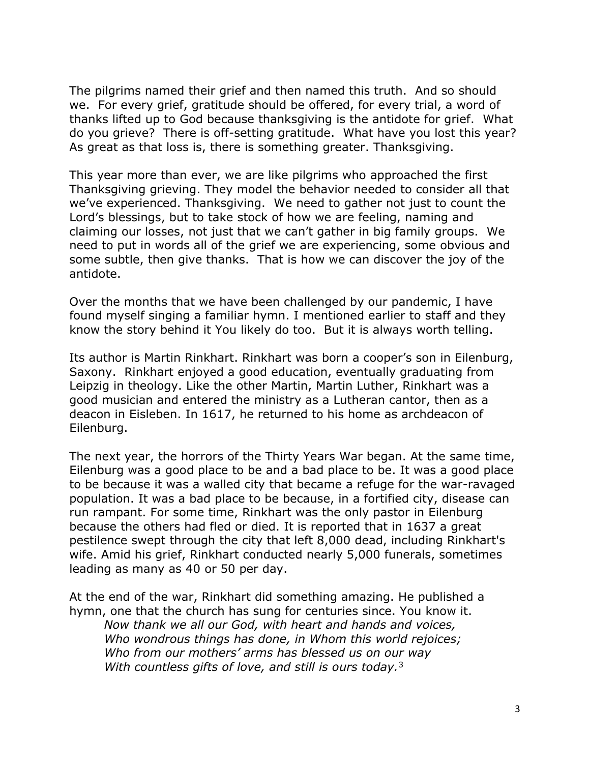The pilgrims named their grief and then named this truth. And so should we. For every grief, gratitude should be offered, for every trial, a word of thanks lifted up to God because thanksgiving is the antidote for grief. What do you grieve? There is off-setting gratitude. What have you lost this year? As great as that loss is, there is something greater. Thanksgiving.

This year more than ever, we are like pilgrims who approached the first Thanksgiving grieving. They model the behavior needed to consider all that we've experienced. Thanksgiving. We need to gather not just to count the Lord's blessings, but to take stock of how we are feeling, naming and claiming our losses, not just that we can't gather in big family groups. We need to put in words all of the grief we are experiencing, some obvious and some subtle, then give thanks. That is how we can discover the joy of the antidote.

Over the months that we have been challenged by our pandemic, I have found myself singing a familiar hymn. I mentioned earlier to staff and they know the story behind it You likely do too. But it is always worth telling.

Its author is Martin Rinkhart. Rinkhart was born a cooper's son in Eilenburg, Saxony. Rinkhart enjoyed a good education, eventually graduating from Leipzig in theology. Like the other Martin, Martin Luther, Rinkhart was a good musician and entered the ministry as a Lutheran cantor, then as a deacon in Eisleben. In 1617, he returned to his home as archdeacon of Eilenburg.

The next year, the horrors of the Thirty Years War began. At the same time, Eilenburg was a good place to be and a bad place to be. It was a good place to be because it was a walled city that became a refuge for the war-ravaged population. It was a bad place to be because, in a fortified city, disease can run rampant. For some time, Rinkhart was the only pastor in Eilenburg because the others had fled or died. It is reported that in 1637 a great pestilence swept through the city that left 8,000 dead, including Rinkhart's wife. Amid his grief, Rinkhart conducted nearly 5,000 funerals, sometimes leading as many as 40 or 50 per day.

At the end of the war, Rinkhart did something amazing. He published a hymn, one that the church has sung for centuries since. You know it. *Now thank we all our God, with heart and hands and voices, Who wondrous things has done, in Whom this world rejoices; Who from our mothers' arms has blessed us on our way With countless gifts of love, and still is ours today.*3